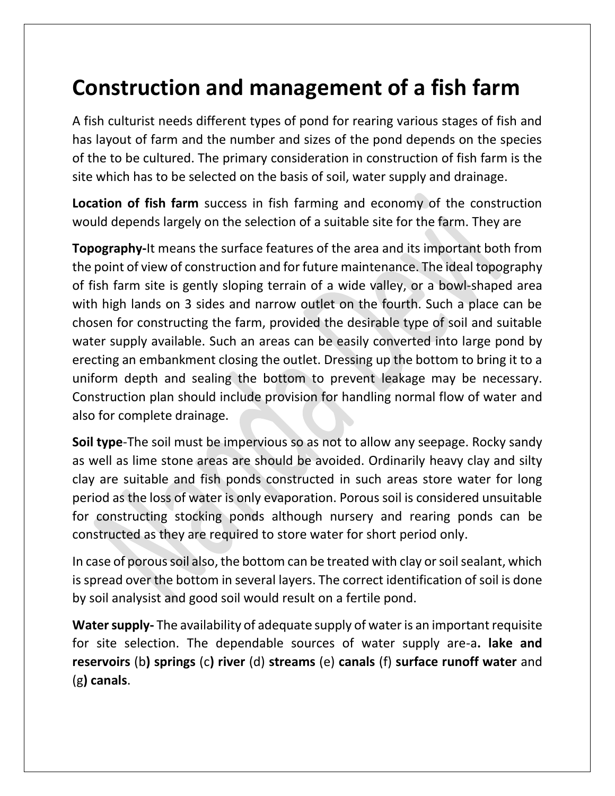# **Construction and management of a fish farm**

A fish culturist needs different types of pond for rearing various stages of fish and has layout of farm and the number and sizes of the pond depends on the species of the to be cultured. The primary consideration in construction of fish farm is the site which has to be selected on the basis of soil, water supply and drainage.

**Location of fish farm** success in fish farming and economy of the construction would depends largely on the selection of a suitable site for the farm. They are

**Topography-**It means the surface features of the area and its important both from the point of view of construction and for future maintenance. The ideal topography of fish farm site is gently sloping terrain of a wide valley, or a bowl-shaped area with high lands on 3 sides and narrow outlet on the fourth. Such a place can be chosen for constructing the farm, provided the desirable type of soil and suitable water supply available. Such an areas can be easily converted into large pond by erecting an embankment closing the outlet. Dressing up the bottom to bring it to a uniform depth and sealing the bottom to prevent leakage may be necessary. Construction plan should include provision for handling normal flow of water and also for complete drainage.

**Soil type**-The soil must be impervious so as not to allow any seepage. Rocky sandy as well as lime stone areas are should be avoided. Ordinarily heavy clay and silty clay are suitable and fish ponds constructed in such areas store water for long period as the loss of water is only evaporation. Porous soil is considered unsuitable for constructing stocking ponds although nursery and rearing ponds can be constructed as they are required to store water for short period only.

In case of porous soil also, the bottom can be treated with clay or soil sealant, which is spread over the bottom in several layers. The correct identification of soil is done by soil analysist and good soil would result on a fertile pond.

**Water supply-** The availability of adequate supply of water is an important requisite for site selection. The dependable sources of water supply are-a**. lake and reservoirs** (b**) springs** (c**) river** (d) **streams** (e) **canals** (f) **surface runoff water** and (g**) canals**.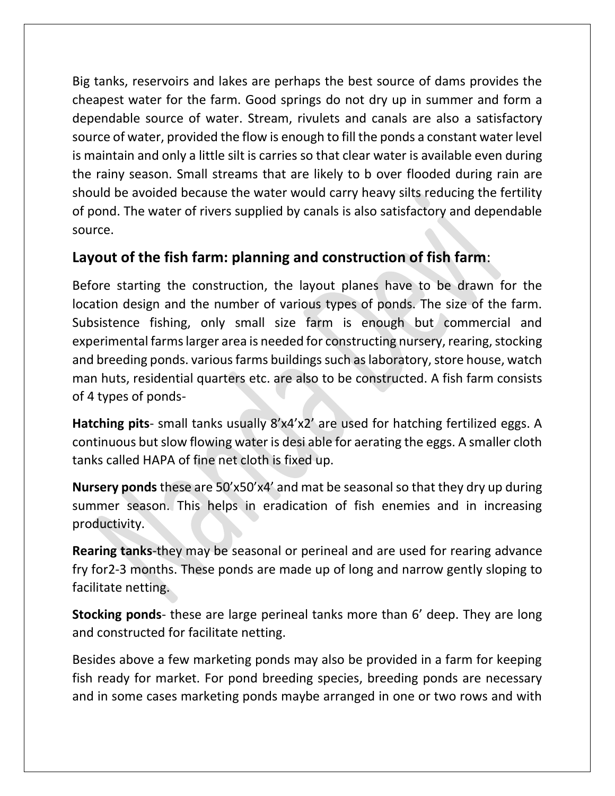Big tanks, reservoirs and lakes are perhaps the best source of dams provides the cheapest water for the farm. Good springs do not dry up in summer and form a dependable source of water. Stream, rivulets and canals are also a satisfactory source of water, provided the flow is enough to fill the ponds a constant water level is maintain and only a little silt is carries so that clear water is available even during the rainy season. Small streams that are likely to b over flooded during rain are should be avoided because the water would carry heavy silts reducing the fertility of pond. The water of rivers supplied by canals is also satisfactory and dependable source.

### **Layout of the fish farm: planning and construction of fish farm**:

Before starting the construction, the layout planes have to be drawn for the location design and the number of various types of ponds. The size of the farm. Subsistence fishing, only small size farm is enough but commercial and experimental farms larger area is needed for constructing nursery, rearing, stocking and breeding ponds. various farms buildings such as laboratory, store house, watch man huts, residential quarters etc. are also to be constructed. A fish farm consists of 4 types of ponds-

**Hatching pits**- small tanks usually 8'x4'x2' are used for hatching fertilized eggs. A continuous but slow flowing water is desi able for aerating the eggs. A smaller cloth tanks called HAPA of fine net cloth is fixed up.

**Nursery ponds** these are 50'x50'x4' and mat be seasonal so that they dry up during summer season. This helps in eradication of fish enemies and in increasing productivity.

**Rearing tanks**-they may be seasonal or perineal and are used for rearing advance fry for2-3 months. These ponds are made up of long and narrow gently sloping to facilitate netting.

**Stocking ponds**- these are large perineal tanks more than 6' deep. They are long and constructed for facilitate netting.

Besides above a few marketing ponds may also be provided in a farm for keeping fish ready for market. For pond breeding species, breeding ponds are necessary and in some cases marketing ponds maybe arranged in one or two rows and with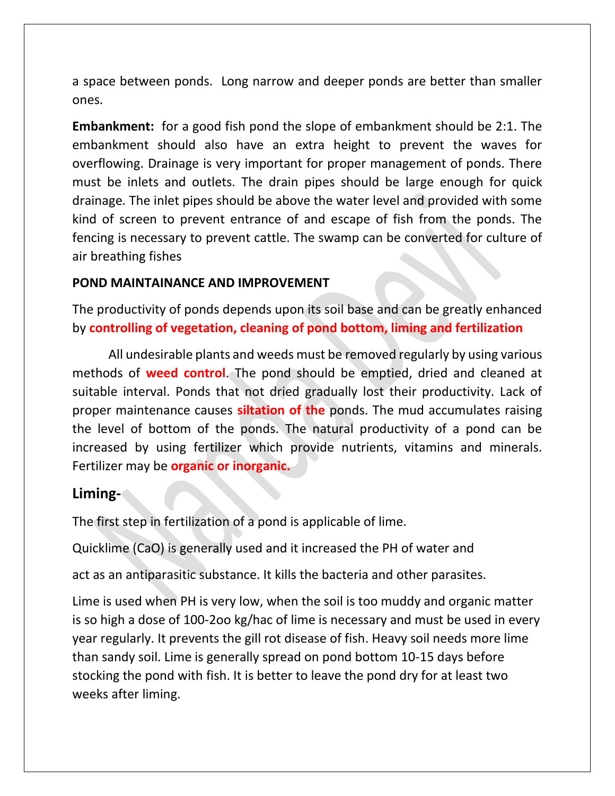a space between ponds. Long narrow and deeper ponds are better than smaller ones.

**Embankment:** for a good fish pond the slope of embankment should be 2:1. The embankment should also have an extra height to prevent the waves for overflowing. Drainage is very important for proper management of ponds. There must be inlets and outlets. The drain pipes should be large enough for quick drainage. The inlet pipes should be above the water level and provided with some kind of screen to prevent entrance of and escape of fish from the ponds. The fencing is necessary to prevent cattle. The swamp can be converted for culture of air breathing fishes

#### **POND MAINTAINANCE AND IMPROVEMENT**

The productivity of ponds depends upon its soil base and can be greatly enhanced by **controlling of vegetation, cleaning of pond bottom, liming and fertilization**

All undesirable plants and weeds must be removed regularly by using various methods of **weed control**. The pond should be emptied, dried and cleaned at suitable interval. Ponds that not dried gradually lost their productivity. Lack of proper maintenance causes **siltation of the** ponds. The mud accumulates raising the level of bottom of the ponds. The natural productivity of a pond can be increased by using fertilizer which provide nutrients, vitamins and minerals. Fertilizer may be **organic or inorganic.**

#### **Liming-**

The first step in fertilization of a pond is applicable of lime.

Quicklime (CaO) is generally used and it increased the PH of water and

act as an antiparasitic substance. It kills the bacteria and other parasites.

Lime is used when PH is very low, when the soil is too muddy and organic matter is so high a dose of 100-2oo kg/hac of lime is necessary and must be used in every year regularly. It prevents the gill rot disease of fish. Heavy soil needs more lime than sandy soil. Lime is generally spread on pond bottom 10-15 days before stocking the pond with fish. It is better to leave the pond dry for at least two weeks after liming.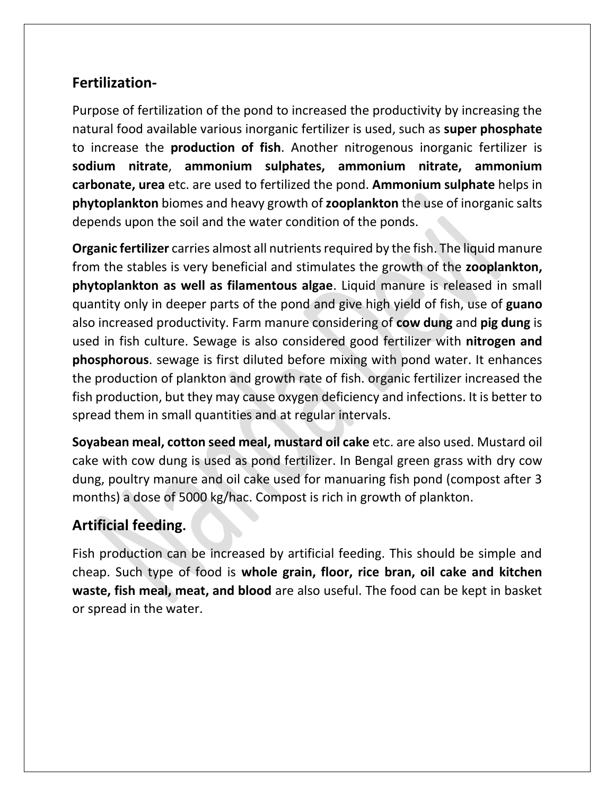# **Fertilization-**

Purpose of fertilization of the pond to increased the productivity by increasing the natural food available various inorganic fertilizer is used, such as **super phosphate** to increase the **production of fish**. Another nitrogenous inorganic fertilizer is **sodium nitrate**, **ammonium sulphates, ammonium nitrate, ammonium carbonate, urea** etc. are used to fertilized the pond. **Ammonium sulphate** helps in **phytoplankton** biomes and heavy growth of **zooplankton** the use of inorganic salts depends upon the soil and the water condition of the ponds.

**Organic fertilizer** carries almost all nutrients required by the fish. The liquid manure from the stables is very beneficial and stimulates the growth of the **zooplankton, phytoplankton as well as filamentous algae**. Liquid manure is released in small quantity only in deeper parts of the pond and give high yield of fish, use of **guano** also increased productivity. Farm manure considering of **cow dung** and **pig dung** is used in fish culture. Sewage is also considered good fertilizer with **nitrogen and phosphorous**. sewage is first diluted before mixing with pond water. It enhances the production of plankton and growth rate of fish. organic fertilizer increased the fish production, but they may cause oxygen deficiency and infections. It is better to spread them in small quantities and at regular intervals.

**Soyabean meal, cotton seed meal, mustard oil cake** etc. are also used. Mustard oil cake with cow dung is used as pond fertilizer. In Bengal green grass with dry cow dung, poultry manure and oil cake used for manuaring fish pond (compost after 3 months) a dose of 5000 kg/hac. Compost is rich in growth of plankton.

# **Artificial feeding.**

Fish production can be increased by artificial feeding. This should be simple and cheap. Such type of food is **whole grain, floor, rice bran, oil cake and kitchen waste, fish meal, meat, and blood** are also useful. The food can be kept in basket or spread in the water.